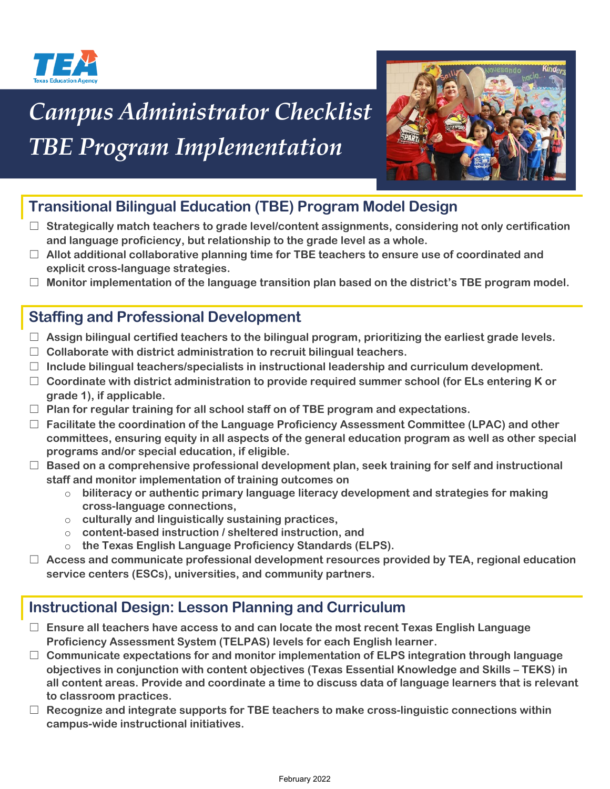

# *Campus Administrator Checklist TBE Program Implementation*



## **Transitional Bilingual Education (TBE) Program Model Design**

- ☐ **Strategically match teachers to grade level/content assignments, considering not only certification and language proficiency, but relationship to the grade level as a whole.**
- ☐ **Allot additional collaborative planning time for TBE teachers to ensure use of coordinated and explicit cross-language strategies.**
- ☐ **Monitor implementation of the language transition plan based on the district's TBE program model.**

### **Staffing and Professional Development**

- ☐ **Assign bilingual certified teachers to the bilingual program, prioritizing the earliest grade levels.**
- ☐ **Collaborate with district administration to recruit bilingual teachers.**
- ☐ **Include bilingual teachers/specialists in instructional leadership and curriculum development.**
- ☐ **Coordinate with district administration to provide required summer school (for ELs entering K or grade 1), if applicable.**
- ☐ **Plan for regular training for all school staff on of TBE program and expectations.**
- ☐ **Facilitate the coordination of the Language Proficiency Assessment Committee (LPAC) and other committees, ensuring equity in all aspects of the general education program as well as other special programs and/or special education, if eligible.**
- ☐ **Based on a comprehensive professional development plan, seek training for self and instructional staff and monitor implementation of training outcomes on**
	- o **biliteracy or authentic primary language literacy development and strategies for making cross-language connections,**
	- o **culturally and linguistically sustaining practices,**
	- o **content-based instruction / sheltered instruction, and**
	- o **the Texas English Language Proficiency Standards (ELPS).**
- ☐ **Access and communicate professional development resources provided by TEA, regional education service centers (ESCs), universities, and community partners.**

#### **Instructional Design: Lesson Planning and Curriculum**

- ☐ **Ensure all teachers have access to and can locate the most recent Texas English Language Proficiency Assessment System (TELPAS) levels for each English learner.**
- ☐ **Communicate expectations for and monitor implementation of ELPS integration through language objectives in conjunction with content objectives (Texas Essential Knowledge and Skills – TEKS) in all content areas. Provide and coordinate a time to discuss data of language learners that is relevant to classroom practices.**
- ☐ **Recognize and integrate supports for TBE teachers to make cross-linguistic connections within campus-wide instructional initiatives.**